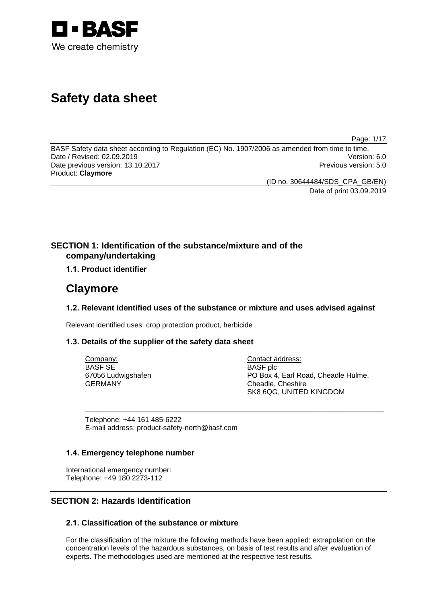

# **Safety data sheet**

Page: 1/17

BASF Safety data sheet according to Regulation (EC) No. 1907/2006 as amended from time to time.<br>Date / Revised: 02.09.2019 Date / Revised: 02.09.2019 Date previous version: 13.10.2017 **Previous version: 5.0 Previous version: 5.0** Product: **Claymore**

(ID no. 30644484/SDS\_CPA\_GB/EN) Date of print 03.09.2019

### **SECTION 1: Identification of the substance/mixture and of the company/undertaking**

### **1.1. Product identifier**

## **Claymore**

### **1.2. Relevant identified uses of the substance or mixture and uses advised against**

\_\_\_\_\_\_\_\_\_\_\_\_\_\_\_\_\_\_\_\_\_\_\_\_\_\_\_\_\_\_\_\_\_\_\_\_\_\_\_\_\_\_\_\_\_\_\_\_\_\_\_\_\_\_\_\_\_\_\_\_\_\_\_\_\_\_\_\_\_\_\_\_\_\_\_

Relevant identified uses: crop protection product, herbicide

### **1.3. Details of the supplier of the safety data sheet**

Company: BASF SE 67056 Ludwigshafen GERMANY

Contact address: BASF plc PO Box 4, Earl Road, Cheadle Hulme, Cheadle, Cheshire SK8 6QG, UNITED KINGDOM

Telephone: +44 161 485-6222 E-mail address: product-safety-north@basf.com

### **1.4. Emergency telephone number**

International emergency number: Telephone: +49 180 2273-112

### **SECTION 2: Hazards Identification**

### **2.1. Classification of the substance or mixture**

For the classification of the mixture the following methods have been applied: extrapolation on the concentration levels of the hazardous substances, on basis of test results and after evaluation of experts. The methodologies used are mentioned at the respective test results.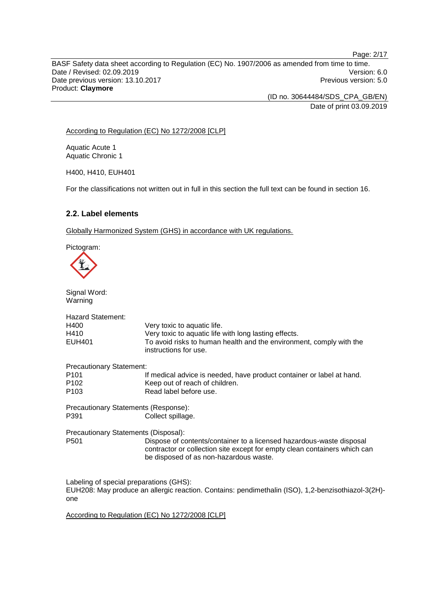BASF Safety data sheet according to Regulation (EC) No. 1907/2006 as amended from time to time. Date / Revised: 02.09.2019 Version: 6.0 Date previous version: 13.10.2017 **Previous version: 5.0 Previous version: 5.0** Product: **Claymore**

> (ID no. 30644484/SDS\_CPA\_GB/EN) Date of print 03.09.2019

According to Regulation (EC) No 1272/2008 [CLP]

Aquatic Acute 1 Aquatic Chronic 1

H400, H410, EUH401

For the classifications not written out in full in this section the full text can be found in section 16.

### **2.2. Label elements**

Globally Harmonized System (GHS) in accordance with UK regulations.

Pictogram:



one

Signal Word: Warning Hazard Statement:<br>H400 H400 Very toxic to aquatic life.<br>H410 Very toxic to aquatic life H410 Very toxic to aquatic life with long lasting effects.<br>EUH401 To avoid risks to human health and the environm To avoid risks to human health and the environment, comply with the instructions for use. Precautionary Statement:<br><sup>11</sup> P101 If medical advice is needed, have product container or label at hand.<br>P102 Seep out of reach of children. P102 Keep out of reach of children.<br>P103 Read label before use Read label before use. Precautionary Statements (Response): P391 Collect spillage. Precautionary Statements (Disposal): P501 Dispose of contents/container to a licensed hazardous-waste disposal contractor or collection site except for empty clean containers which can be disposed of as non-hazardous waste. Labeling of special preparations (GHS): EUH208: May produce an allergic reaction. Contains: pendimethalin (ISO), 1,2-benzisothiazol-3(2H)-

According to Regulation (EC) No 1272/2008 [CLP]

Page: 2/17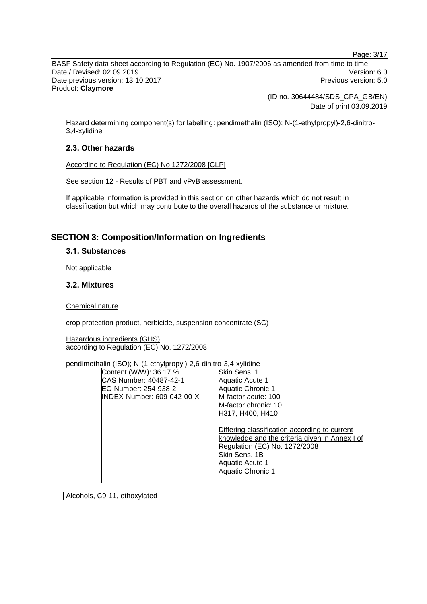Page: 3/17

BASF Safety data sheet according to Regulation (EC) No. 1907/2006 as amended from time to time. Date / Revised: 02.09.2019 Version: 6.0 Date previous version: 13.10.2017 **Previous version: 5.0 Previous version: 5.0** Product: **Claymore**

> (ID no. 30644484/SDS\_CPA\_GB/EN) Date of print 03.09.2019

Hazard determining component(s) for labelling: pendimethalin (ISO); N-(1-ethylpropyl)-2,6-dinitro-3,4-xylidine

### **2.3. Other hazards**

According to Regulation (EC) No 1272/2008 [CLP]

See section 12 - Results of PBT and vPvB assessment.

If applicable information is provided in this section on other hazards which do not result in classification but which may contribute to the overall hazards of the substance or mixture.

### **SECTION 3: Composition/Information on Ingredients**

#### **3.1. Substances**

Not applicable

### **3.2. Mixtures**

Chemical nature

crop protection product, herbicide, suspension concentrate (SC)

Hazardous ingredients (GHS) according to Regulation (EC) No. 1272/2008

pendimethalin (ISO); N-(1-ethylpropyl)-2,6-dinitro-3,4-xylidine

Content (W/W): 36.17 % CAS Number: 40487-42-1 EC-Number: 254-938-2 INDEX-Number: 609-042-00-X

Skin Sens. 1 Aquatic Acute 1 Aquatic Chronic 1 M-factor acute: 100 M-factor chronic: 10 H317, H400, H410

Differing classification according to current knowledge and the criteria given in Annex I of Regulation (EC) No. 1272/2008 Skin Sens. 1B Aquatic Acute 1 Aquatic Chronic 1

Alcohols, C9-11, ethoxylated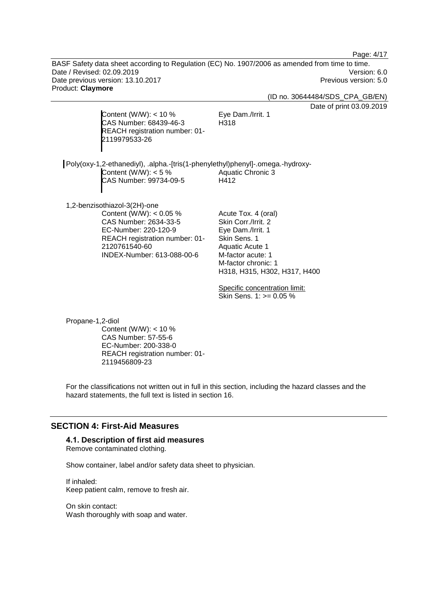Page: 4/17

BASF Safety data sheet according to Regulation (EC) No. 1907/2006 as amended from time to time. Date / Revised: 02.09.2019 Version: 6.0 Date previous version: 13.10.2017 **Previous version: 5.0 Previous version: 5.0** Product: **Claymore**

(ID no. 30644484/SDS\_CPA\_GB/EN)

Date of print 03.09.2019

Content (W/W):  $<$  10 % CAS Number: 68439-46-3 REACH registration number: 01- 2119979533-26

Eye Dam./Irrit. 1 H318

| Poly(oxy-1,2-ethanediyl), .alpha.-[tris(1-phenylethyl)phenyl]-.omega.-hydroxy- |                   |
|--------------------------------------------------------------------------------|-------------------|
| Content (W/W): $<$ 5 %                                                         | Aquatic Chronic 3 |
| CAS Number: 99734-09-5                                                         | H412              |
|                                                                                |                   |

1,2-benzisothiazol-3(2H)-one Content (W/W): < 0.05 % CAS Number: 2634-33-5 EC-Number: 220-120-9 REACH registration number: 01- 2120761540-60 INDEX-Number: 613-088-00-6

Acute Tox. 4 (oral) Skin Corr./Irrit. 2 Eye Dam./Irrit. 1 Skin Sens. 1 Aquatic Acute 1 M-factor acute: 1 M-factor chronic: 1 H318, H315, H302, H317, H400

Specific concentration limit: Skin Sens. 1: >= 0.05 %

Propane-1,2-diol Content (W/W):  $<$  10 % CAS Number: 57-55-6 EC-Number: 200-338-0 REACH registration number: 01- 2119456809-23

For the classifications not written out in full in this section, including the hazard classes and the hazard statements, the full text is listed in section 16.

### **SECTION 4: First-Aid Measures**

### **4.1. Description of first aid measures**

Remove contaminated clothing.

Show container, label and/or safety data sheet to physician.

If inhaled: Keep patient calm, remove to fresh air.

On skin contact: Wash thoroughly with soap and water.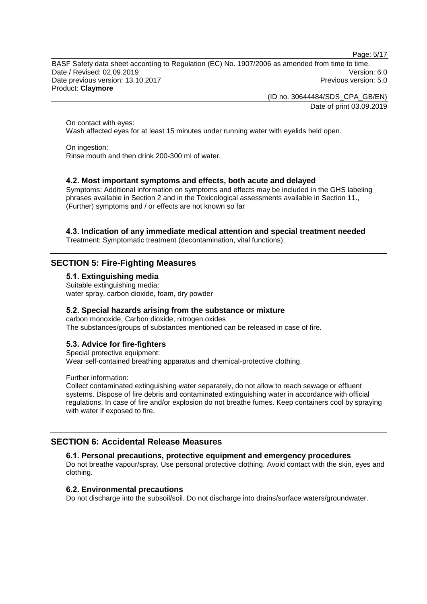Page: 5/17

BASF Safety data sheet according to Regulation (EC) No. 1907/2006 as amended from time to time. Date / Revised: 02.09.2019 Version: 6.0 Date previous version: 13.10.2017 **Previous version: 5.0 Previous version: 5.0** Product: **Claymore**

> (ID no. 30644484/SDS\_CPA\_GB/EN) Date of print 03.09.2019

On contact with eyes: Wash affected eyes for at least 15 minutes under running water with eyelids held open.

On ingestion: Rinse mouth and then drink 200-300 ml of water.

### **4.2. Most important symptoms and effects, both acute and delayed**

Symptoms: Additional information on symptoms and effects may be included in the GHS labeling phrases available in Section 2 and in the Toxicological assessments available in Section 11., (Further) symptoms and / or effects are not known so far

### **4.3. Indication of any immediate medical attention and special treatment needed**

Treatment: Symptomatic treatment (decontamination, vital functions).

### **SECTION 5: Fire-Fighting Measures**

**5.1. Extinguishing media**

Suitable extinguishing media: water spray, carbon dioxide, foam, dry powder

#### **5.2. Special hazards arising from the substance or mixture**

carbon monoxide, Carbon dioxide, nitrogen oxides The substances/groups of substances mentioned can be released in case of fire.

### **5.3. Advice for fire-fighters**

Special protective equipment: Wear self-contained breathing apparatus and chemical-protective clothing.

Further information:

Collect contaminated extinguishing water separately, do not allow to reach sewage or effluent systems. Dispose of fire debris and contaminated extinguishing water in accordance with official regulations. In case of fire and/or explosion do not breathe fumes. Keep containers cool by spraying with water if exposed to fire.

### **SECTION 6: Accidental Release Measures**

#### **6.1. Personal precautions, protective equipment and emergency procedures**

Do not breathe vapour/spray. Use personal protective clothing. Avoid contact with the skin, eyes and clothing.

### **6.2. Environmental precautions**

Do not discharge into the subsoil/soil. Do not discharge into drains/surface waters/groundwater.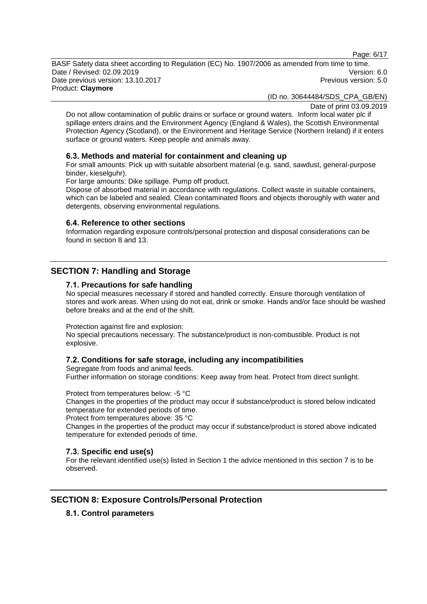Page: 6/17

BASF Safety data sheet according to Regulation (EC) No. 1907/2006 as amended from time to time. Date / Revised: 02.09.2019 Version: 6.0 Date previous version: 13.10.2017 **Previous version: 5.0 Previous version: 5.0** Product: **Claymore**

(ID no. 30644484/SDS\_CPA\_GB/EN)

Date of print 03.09.2019

Do not allow contamination of public drains or surface or ground waters. Inform local water plc if spillage enters drains and the Environment Agency (England & Wales), the Scottish Environmental Protection Agency (Scotland), or the Environment and Heritage Service (Northern Ireland) if it enters surface or ground waters. Keep people and animals away.

#### **6.3. Methods and material for containment and cleaning up**

For small amounts: Pick up with suitable absorbent material (e.g. sand, sawdust, general-purpose binder, kieselguhr).

For large amounts: Dike spillage. Pump off product.

Dispose of absorbed material in accordance with regulations. Collect waste in suitable containers, which can be labeled and sealed. Clean contaminated floors and objects thoroughly with water and detergents, observing environmental regulations.

#### **6.4. Reference to other sections**

Information regarding exposure controls/personal protection and disposal considerations can be found in section 8 and 13.

### **SECTION 7: Handling and Storage**

#### **7.1. Precautions for safe handling**

No special measures necessary if stored and handled correctly. Ensure thorough ventilation of stores and work areas. When using do not eat, drink or smoke. Hands and/or face should be washed before breaks and at the end of the shift.

Protection against fire and explosion:

No special precautions necessary. The substance/product is non-combustible. Product is not explosive.

### **7.2. Conditions for safe storage, including any incompatibilities**

Segregate from foods and animal feeds. Further information on storage conditions: Keep away from heat. Protect from direct sunlight.

Protect from temperatures below: -5 °C

Changes in the properties of the product may occur if substance/product is stored below indicated temperature for extended periods of time.

Protect from temperatures above: 35 °C

Changes in the properties of the product may occur if substance/product is stored above indicated temperature for extended periods of time.

### **7.3. Specific end use(s)**

For the relevant identified use(s) listed in Section 1 the advice mentioned in this section 7 is to be observed.

### **SECTION 8: Exposure Controls/Personal Protection**

### **8.1. Control parameters**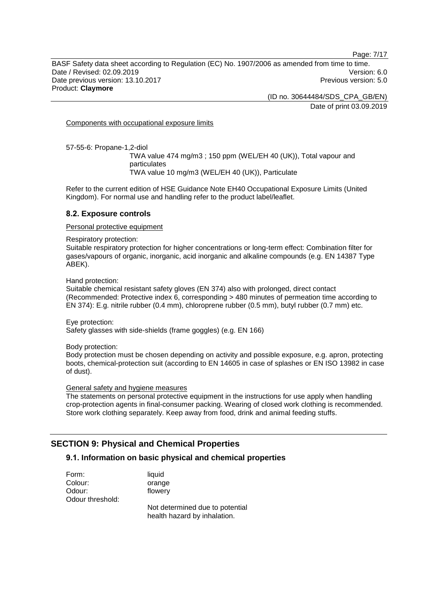Page: 7/17

BASF Safety data sheet according to Regulation (EC) No. 1907/2006 as amended from time to time. Date / Revised: 02.09.2019 Version: 6.0 Date previous version: 13.10.2017 **Previous version: 5.0 Previous version: 5.0** Product: **Claymore**

> (ID no. 30644484/SDS\_CPA\_GB/EN) Date of print 03.09.2019

Components with occupational exposure limits

57-55-6: Propane-1,2-diol

TWA value 474 mg/m3 ; 150 ppm (WEL/EH 40 (UK)), Total vapour and particulates TWA value 10 mg/m3 (WEL/EH 40 (UK)), Particulate

Refer to the current edition of HSE Guidance Note EH40 Occupational Exposure Limits (United Kingdom). For normal use and handling refer to the product label/leaflet.

#### **8.2. Exposure controls**

Personal protective equipment

Respiratory protection:

Suitable respiratory protection for higher concentrations or long-term effect: Combination filter for gases/vapours of organic, inorganic, acid inorganic and alkaline compounds (e.g. EN 14387 Type ABEK).

Hand protection:

Suitable chemical resistant safety gloves (EN 374) also with prolonged, direct contact (Recommended: Protective index 6, corresponding > 480 minutes of permeation time according to EN 374): E.g. nitrile rubber (0.4 mm), chloroprene rubber (0.5 mm), butyl rubber (0.7 mm) etc.

Eye protection: Safety glasses with side-shields (frame goggles) (e.g. EN 166)

Body protection:

Body protection must be chosen depending on activity and possible exposure, e.g. apron, protecting boots, chemical-protection suit (according to EN 14605 in case of splashes or EN ISO 13982 in case of dust).

#### General safety and hygiene measures

The statements on personal protective equipment in the instructions for use apply when handling crop-protection agents in final-consumer packing. Wearing of closed work clothing is recommended. Store work clothing separately. Keep away from food, drink and animal feeding stuffs.

### **SECTION 9: Physical and Chemical Properties**

### **9.1. Information on basic physical and chemical properties**

| Form:            | liquid                                                          |
|------------------|-----------------------------------------------------------------|
| Colour:          | orange                                                          |
| Odour:           | flowery                                                         |
| Odour threshold: |                                                                 |
|                  | Not determined due to potential<br>health hazard by inhalation. |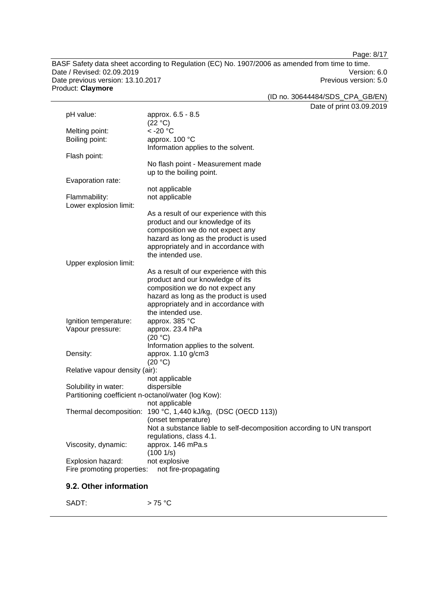Page: 8/17

BASF Safety data sheet according to Regulation (EC) No. 1907/2006 as amended from time to time. Date / Revised: 02.09.2019<br>
Date previous version: 13.10.2017<br>
Date previous version: 13.10.2017 Date previous version: 13.10.2017 Product: **Claymore**

(ID no. 30644484/SDS\_CPA\_GB/EN)

Date of print 03.09.2019

|                                                     |                                                                        | Dale of print 05.09.2 |
|-----------------------------------------------------|------------------------------------------------------------------------|-----------------------|
| pH value:                                           | approx. 6.5 - 8.5                                                      |                       |
|                                                     | (22 °C)                                                                |                       |
| Melting point:                                      | $<$ -20 $^{\circ}$ C                                                   |                       |
| Boiling point:                                      | approx. 100 °C                                                         |                       |
|                                                     | Information applies to the solvent.                                    |                       |
| Flash point:                                        |                                                                        |                       |
|                                                     | No flash point - Measurement made                                      |                       |
|                                                     | up to the boiling point.                                               |                       |
| Evaporation rate:                                   |                                                                        |                       |
|                                                     | not applicable                                                         |                       |
| Flammability:                                       | not applicable                                                         |                       |
| Lower explosion limit:                              |                                                                        |                       |
|                                                     | As a result of our experience with this                                |                       |
|                                                     | product and our knowledge of its                                       |                       |
|                                                     | composition we do not expect any                                       |                       |
|                                                     | hazard as long as the product is used                                  |                       |
|                                                     | appropriately and in accordance with                                   |                       |
|                                                     | the intended use.                                                      |                       |
| Upper explosion limit:                              |                                                                        |                       |
|                                                     | As a result of our experience with this                                |                       |
|                                                     | product and our knowledge of its                                       |                       |
|                                                     | composition we do not expect any                                       |                       |
|                                                     | hazard as long as the product is used                                  |                       |
|                                                     | appropriately and in accordance with                                   |                       |
|                                                     | the intended use.                                                      |                       |
| Ignition temperature:                               | approx. 385 °C                                                         |                       |
| Vapour pressure:                                    | approx. 23.4 hPa                                                       |                       |
|                                                     | (20 °C)                                                                |                       |
|                                                     | Information applies to the solvent.                                    |                       |
| Density:                                            | approx. 1.10 g/cm3<br>(20 °C)                                          |                       |
| Relative vapour density (air):                      |                                                                        |                       |
|                                                     | not applicable                                                         |                       |
| Solubility in water:                                | dispersible                                                            |                       |
| Partitioning coefficient n-octanol/water (log Kow): |                                                                        |                       |
|                                                     | not applicable                                                         |                       |
|                                                     | Thermal decomposition: 190 °C, 1,440 kJ/kg, (DSC (OECD 113))           |                       |
|                                                     | (onset temperature)                                                    |                       |
|                                                     | Not a substance liable to self-decomposition according to UN transport |                       |
|                                                     | regulations, class 4.1.                                                |                       |
| Viscosity, dynamic:                                 | approx. 146 mPa.s                                                      |                       |
|                                                     | (1001/s)                                                               |                       |
| Explosion hazard:                                   | not explosive                                                          |                       |
| Fire promoting properties:                          | not fire-propagating                                                   |                       |
|                                                     |                                                                        |                       |
|                                                     |                                                                        |                       |

### **9.2. Other information**

SADT:  $> 75 °C$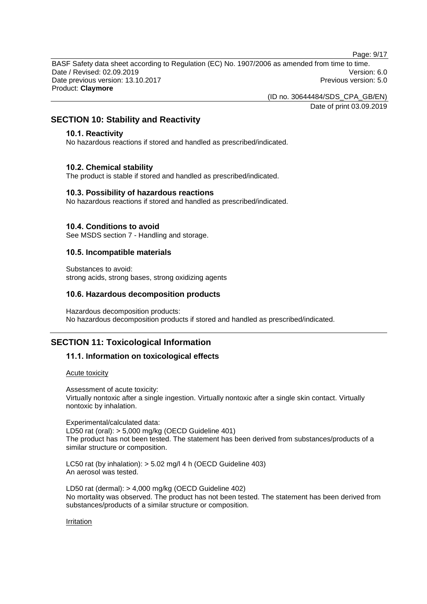Page: 9/17

BASF Safety data sheet according to Regulation (EC) No. 1907/2006 as amended from time to time. Date / Revised: 02.09.2019 Version: 6.0 Date previous version: 13.10.2017 **Previous version: 5.0 Previous version: 5.0** Product: **Claymore**

(ID no. 30644484/SDS\_CPA\_GB/EN)

Date of print 03.09.2019

### **SECTION 10: Stability and Reactivity**

### **10.1. Reactivity**

No hazardous reactions if stored and handled as prescribed/indicated.

#### **10.2. Chemical stability**

The product is stable if stored and handled as prescribed/indicated.

#### **10.3. Possibility of hazardous reactions**

No hazardous reactions if stored and handled as prescribed/indicated.

#### **10.4. Conditions to avoid**

See MSDS section 7 - Handling and storage.

#### **10.5. Incompatible materials**

Substances to avoid: strong acids, strong bases, strong oxidizing agents

### **10.6. Hazardous decomposition products**

Hazardous decomposition products: No hazardous decomposition products if stored and handled as prescribed/indicated.

### **SECTION 11: Toxicological Information**

### **11.1. Information on toxicological effects**

#### Acute toxicity

Assessment of acute toxicity: Virtually nontoxic after a single ingestion. Virtually nontoxic after a single skin contact. Virtually nontoxic by inhalation.

Experimental/calculated data: LD50 rat (oral): > 5,000 mg/kg (OECD Guideline 401) The product has not been tested. The statement has been derived from substances/products of a similar structure or composition.

LC50 rat (by inhalation): > 5.02 mg/l 4 h (OECD Guideline 403) An aerosol was tested.

LD50 rat (dermal): > 4,000 mg/kg (OECD Guideline 402) No mortality was observed. The product has not been tested. The statement has been derived from substances/products of a similar structure or composition.

#### Irritation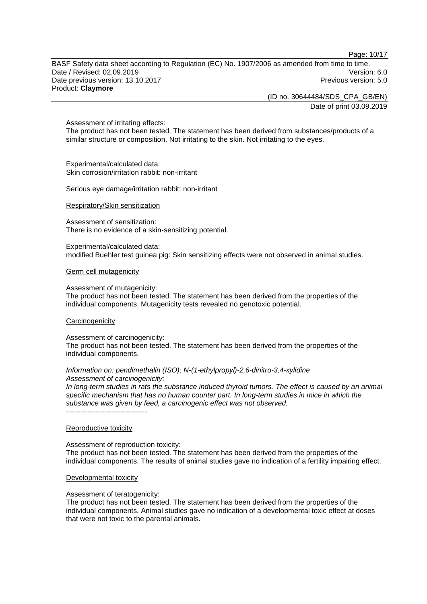Page: 10/17

BASF Safety data sheet according to Regulation (EC) No. 1907/2006 as amended from time to time. Date / Revised: 02.09.2019 Version: 6.0 Date previous version: 13.10.2017 **Previous version: 5.0 Previous version: 5.0** Product: **Claymore**

> (ID no. 30644484/SDS\_CPA\_GB/EN) Date of print 03.09.2019

Assessment of irritating effects:

The product has not been tested. The statement has been derived from substances/products of a similar structure or composition. Not irritating to the skin. Not irritating to the eyes.

Experimental/calculated data: Skin corrosion/irritation rabbit: non-irritant

Serious eye damage/irritation rabbit: non-irritant

#### Respiratory/Skin sensitization

Assessment of sensitization: There is no evidence of a skin-sensitizing potential.

Experimental/calculated data: modified Buehler test guinea pig: Skin sensitizing effects were not observed in animal studies.

#### Germ cell mutagenicity

Assessment of mutagenicity:

The product has not been tested. The statement has been derived from the properties of the individual components. Mutagenicity tests revealed no genotoxic potential.

#### **Carcinogenicity**

Assessment of carcinogenicity:

The product has not been tested. The statement has been derived from the properties of the individual components.

#### *Information on: pendimethalin (ISO); N-(1-ethylpropyl)-2,6-dinitro-3,4-xylidine Assessment of carcinogenicity:*

*In long-term studies in rats the substance induced thyroid tumors. The effect is caused by an animal specific mechanism that has no human counter part. In long-term studies in mice in which the substance was given by feed, a carcinogenic effect was not observed.*

----------------------------------

#### Reproductive toxicity

Assessment of reproduction toxicity: The product has not been tested. The statement has been derived from the properties of the individual components. The results of animal studies gave no indication of a fertility impairing effect.

#### Developmental toxicity

Assessment of teratogenicity:

The product has not been tested. The statement has been derived from the properties of the individual components. Animal studies gave no indication of a developmental toxic effect at doses that were not toxic to the parental animals.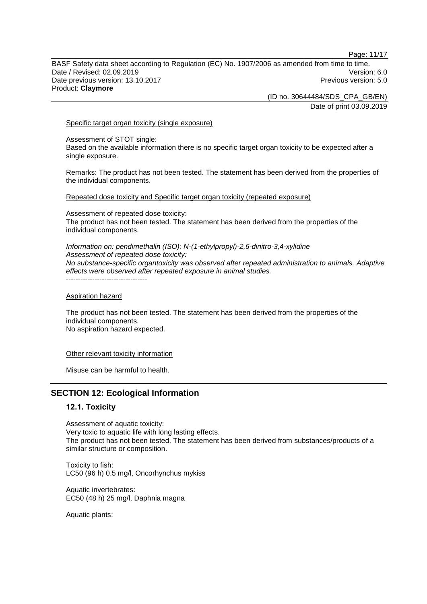Page: 11/17

BASF Safety data sheet according to Regulation (EC) No. 1907/2006 as amended from time to time. Date / Revised: 02.09.2019 Version: 6.0 Date previous version: 13.10.2017 **Previous version: 5.0 Previous version: 5.0** Product: **Claymore**

(ID no. 30644484/SDS\_CPA\_GB/EN)

Date of print 03.09.2019

Specific target organ toxicity (single exposure)

Assessment of STOT single: Based on the available information there is no specific target organ toxicity to be expected after a single exposure.

Remarks: The product has not been tested. The statement has been derived from the properties of the individual components.

Repeated dose toxicity and Specific target organ toxicity (repeated exposure)

Assessment of repeated dose toxicity: The product has not been tested. The statement has been derived from the properties of the individual components.

*Information on: pendimethalin (ISO); N-(1-ethylpropyl)-2,6-dinitro-3,4-xylidine Assessment of repeated dose toxicity: No substance-specific organtoxicity was observed after repeated administration to animals. Adaptive effects were observed after repeated exposure in animal studies.* ----------------------------------

Aspiration hazard

The product has not been tested. The statement has been derived from the properties of the individual components. No aspiration hazard expected.

Other relevant toxicity information

Misuse can be harmful to health.

### **SECTION 12: Ecological Information**

#### **12.1. Toxicity**

Assessment of aquatic toxicity: Very toxic to aquatic life with long lasting effects. The product has not been tested. The statement has been derived from substances/products of a similar structure or composition.

Toxicity to fish: LC50 (96 h) 0.5 mg/l, Oncorhynchus mykiss

Aquatic invertebrates: EC50 (48 h) 25 mg/l, Daphnia magna

Aquatic plants: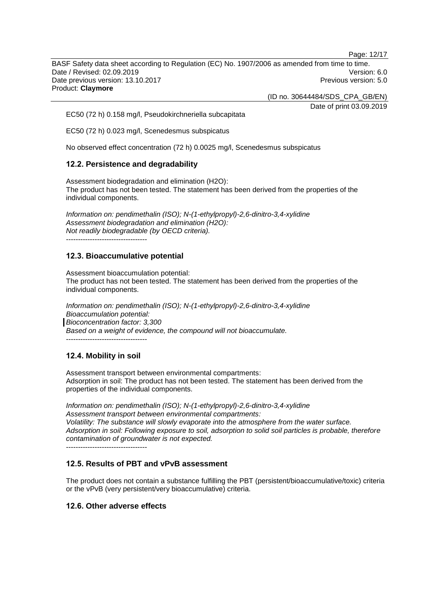Page: 12/17

BASF Safety data sheet according to Regulation (EC) No. 1907/2006 as amended from time to time. Date / Revised: 02.09.2019 Version: 6.0 Date previous version: 13.10.2017 **Previous version: 5.0 Previous version: 5.0** Product: **Claymore**

(ID no. 30644484/SDS\_CPA\_GB/EN)

Date of print 03.09.2019

EC50 (72 h) 0.158 mg/l, Pseudokirchneriella subcapitata

EC50 (72 h) 0.023 mg/l, Scenedesmus subspicatus

No observed effect concentration (72 h) 0.0025 mg/l, Scenedesmus subspicatus

### **12.2. Persistence and degradability**

Assessment biodegradation and elimination (H2O): The product has not been tested. The statement has been derived from the properties of the individual components.

*Information on: pendimethalin (ISO); N-(1-ethylpropyl)-2,6-dinitro-3,4-xylidine Assessment biodegradation and elimination (H2O): Not readily biodegradable (by OECD criteria).* ----------------------------------

### **12.3. Bioaccumulative potential**

Assessment bioaccumulation potential: The product has not been tested. The statement has been derived from the properties of the individual components.

*Information on: pendimethalin (ISO); N-(1-ethylpropyl)-2,6-dinitro-3,4-xylidine Bioaccumulation potential: Bioconcentration factor: 3,300 Based on a weight of evidence, the compound will not bioaccumulate.*

----------------------------------

### **12.4. Mobility in soil**

Assessment transport between environmental compartments: Adsorption in soil: The product has not been tested. The statement has been derived from the properties of the individual components.

*Information on: pendimethalin (ISO); N-(1-ethylpropyl)-2,6-dinitro-3,4-xylidine Assessment transport between environmental compartments: Volatility: The substance will slowly evaporate into the atmosphere from the water surface. Adsorption in soil: Following exposure to soil, adsorption to solid soil particles is probable, therefore contamination of groundwater is not expected.* ----------------------------------

### **12.5. Results of PBT and vPvB assessment**

The product does not contain a substance fulfilling the PBT (persistent/bioaccumulative/toxic) criteria or the vPvB (very persistent/very bioaccumulative) criteria.

### **12.6. Other adverse effects**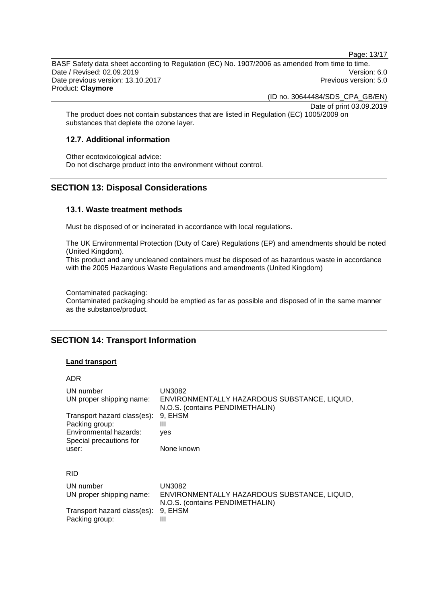Page: 13/17

BASF Safety data sheet according to Regulation (EC) No. 1907/2006 as amended from time to time. Date / Revised: 02.09.2019 Version: 6.0 Date previous version: 13.10.2017 **Previous version: 5.0 Previous version: 5.0** Product: **Claymore**

(ID no. 30644484/SDS\_CPA\_GB/EN)

Date of print 03.09.2019

The product does not contain substances that are listed in Regulation (EC) 1005/2009 on substances that deplete the ozone layer.

### **12.7. Additional information**

Other ecotoxicological advice: Do not discharge product into the environment without control.

### **SECTION 13: Disposal Considerations**

#### **13.1. Waste treatment methods**

Must be disposed of or incinerated in accordance with local regulations.

The UK Environmental Protection (Duty of Care) Regulations (EP) and amendments should be noted (United Kingdom).

This product and any uncleaned containers must be disposed of as hazardous waste in accordance with the 2005 Hazardous Waste Regulations and amendments (United Kingdom)

Contaminated packaging:

Contaminated packaging should be emptied as far as possible and disposed of in the same manner as the substance/product.

### **SECTION 14: Transport Information**

#### **Land transport**

ADR

| UN number                             | UN3082                                                                                           |
|---------------------------------------|--------------------------------------------------------------------------------------------------|
| UN proper shipping name:              | ENVIRONMENTALLY HAZARDOUS SUBSTANCE, LIQUID,                                                     |
| Transport hazard class(es):           | N.O.S. (contains PENDIMETHALIN)                                                                  |
| Packing group:                        | 9. EHSM                                                                                          |
| Environmental hazards:                | Ш                                                                                                |
| Special precautions for               | yes                                                                                              |
| user:                                 | None known                                                                                       |
| <b>RID</b>                            |                                                                                                  |
| UN number<br>UN proper shipping name: | <b>UN3082</b><br>ENVIRONMENTALLY HAZARDOUS SUBSTANCE, LIQUID,<br>N.O.S. (contains PENDIMETHALIN) |
| Transport hazard class(es):           | 9, EHSM                                                                                          |
| Packing group:                        | Ш                                                                                                |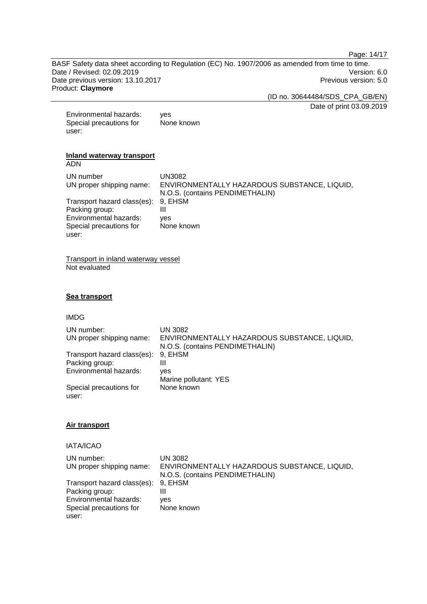Page: 14/17

BASF Safety data sheet according to Regulation (EC) No. 1907/2006 as amended from time to time. Date / Revised: 02.09.2019<br>
Date previous version: 13.10.2017<br>
Date previous version: 13.10.2017 Date previous version: 13.10.2017 Product: **Claymore**

(ID no. 30644484/SDS\_CPA\_GB/EN)

Date of print 03.09.2019

| Environmental hazards:  | ves        |
|-------------------------|------------|
| Special precautions for | None known |
| user:                   |            |

#### **Inland waterway transport** ADN

UN number UN3082<br>UN proper shipping name: ENVIRO ENVIRONMENTALLY HAZARDOUS SUBSTANCE, LIQUID, N.O.S. (contains PENDIMETHALIN) Transport hazard class(es): 9,<br>Packing group: III Packing group: III<br>Environmental hazards: ves Environmental hazards: Special precautions for user: None known

Transport in inland waterway vessel Not evaluated

### **Sea transport**

#### IMDG

| UN number:<br>UN proper shipping name: | UN 3082<br>ENVIRONMENTALLY HAZARDOUS SUBSTANCE, LIQUID,<br>N.O.S. (contains PENDIMETHALIN) |
|----------------------------------------|--------------------------------------------------------------------------------------------|
| Transport hazard class(es):            | 9. EHSM                                                                                    |
| Packing group:                         | Ш                                                                                          |
| Environmental hazards:                 | ves                                                                                        |
|                                        | Marine pollutant: YES                                                                      |
| Special precautions for<br>user:       | None known                                                                                 |

### **Air transport**

### IATA/ICAO

| UN number:                          | UN 3082                                      |
|-------------------------------------|----------------------------------------------|
| UN proper shipping name:            | ENVIRONMENTALLY HAZARDOUS SUBSTANCE, LIQUID, |
|                                     | N.O.S. (contains PENDIMETHALIN)              |
| Transport hazard class(es): 9, EHSM |                                              |
| Packing group:                      |                                              |
| Environmental hazards:              | ves                                          |
| Special precautions for             | None known                                   |
| user:                               |                                              |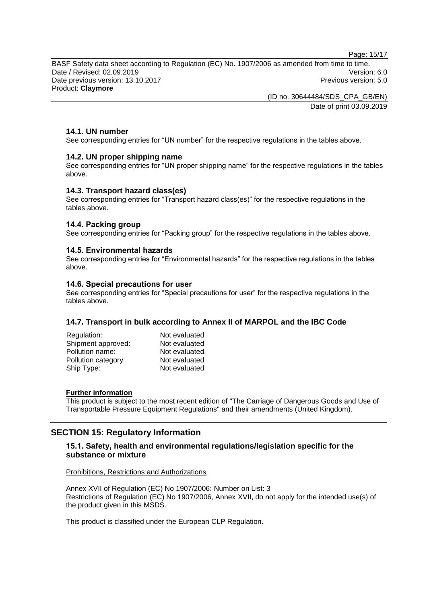Page: 15/17

BASF Safety data sheet according to Regulation (EC) No. 1907/2006 as amended from time to time. Date / Revised: 02.09.2019 Version: 6.0 Date previous version: 13.10.2017 **Previous version: 5.0 Previous version: 5.0** Product: **Claymore**

> (ID no. 30644484/SDS\_CPA\_GB/EN) Date of print 03.09.2019

### **14.1. UN number**

See corresponding entries for "UN number" for the respective regulations in the tables above.

#### **14.2. UN proper shipping name**

See corresponding entries for "UN proper shipping name" for the respective regulations in the tables above.

#### **14.3. Transport hazard class(es)**

See corresponding entries for "Transport hazard class(es)" for the respective regulations in the tables above.

#### **14.4. Packing group**

See corresponding entries for "Packing group" for the respective regulations in the tables above.

#### **14.5. Environmental hazards**

See corresponding entries for "Environmental hazards" for the respective regulations in the tables above.

#### **14.6. Special precautions for user**

See corresponding entries for "Special precautions for user" for the respective regulations in the tables above.

### **14.7. Transport in bulk according to Annex II of MARPOL and the IBC Code**

| Regulation:         | Not evaluated |
|---------------------|---------------|
| Shipment approved:  | Not evaluated |
| Pollution name:     | Not evaluated |
| Pollution category: | Not evaluated |
| Ship Type:          | Not evaluated |
|                     |               |

#### **Further information**

This product is subject to the most recent edition of "The Carriage of Dangerous Goods and Use of Transportable Pressure Equipment Regulations" and their amendments (United Kingdom).

### **SECTION 15: Regulatory Information**

### **15.1. Safety, health and environmental regulations/legislation specific for the substance or mixture**

Prohibitions, Restrictions and Authorizations

Annex XVII of Regulation (EC) No 1907/2006: Number on List: 3 Restrictions of Regulation (EC) No 1907/2006, Annex XVII, do not apply for the intended use(s) of the product given in this MSDS.

This product is classified under the European CLP Regulation.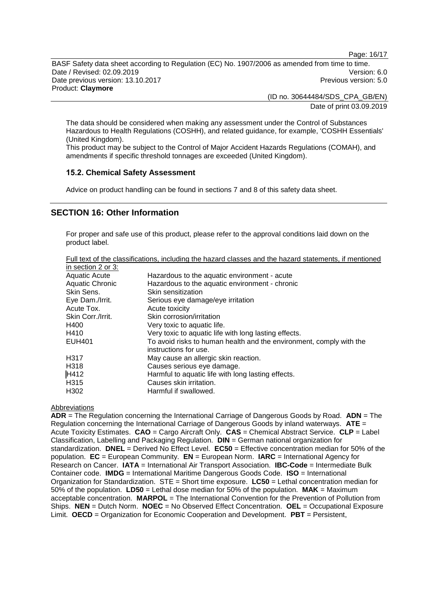Page: 16/17

BASF Safety data sheet according to Regulation (EC) No. 1907/2006 as amended from time to time. Date / Revised: 02.09.2019 Version: 6.0 Date previous version: 13.10.2017 **Previous version: 5.0 Previous version: 5.0** Product: **Claymore**

> (ID no. 30644484/SDS\_CPA\_GB/EN) Date of print 03.09.2019

The data should be considered when making any assessment under the Control of Substances Hazardous to Health Regulations (COSHH), and related guidance, for example, 'COSHH Essentials' (United Kingdom).

This product may be subject to the Control of Major Accident Hazards Regulations (COMAH), and amendments if specific threshold tonnages are exceeded (United Kingdom).

### **15.2. Chemical Safety Assessment**

Advice on product handling can be found in sections 7 and 8 of this safety data sheet.

### **SECTION 16: Other Information**

For proper and safe use of this product, please refer to the approval conditions laid down on the product label.

| Full text of the classifications, including the hazard classes and the hazard statements, if mentioned |  |  |
|--------------------------------------------------------------------------------------------------------|--|--|
| $\sim$ 2224 $\sim$ 0.200                                                                               |  |  |

| in section 2 or 3:     |                                                                                              |
|------------------------|----------------------------------------------------------------------------------------------|
| <b>Aquatic Acute</b>   | Hazardous to the aquatic environment - acute                                                 |
| <b>Aquatic Chronic</b> | Hazardous to the aquatic environment - chronic                                               |
| Skin Sens.             | Skin sensitization                                                                           |
| Eye Dam./Irrit.        | Serious eye damage/eye irritation                                                            |
| Acute Tox.             | Acute toxicity                                                                               |
| Skin Corr./Irrit.      | Skin corrosion/irritation                                                                    |
| H400                   | Very toxic to aquatic life.                                                                  |
| H410                   | Very toxic to aquatic life with long lasting effects.                                        |
| <b>EUH401</b>          | To avoid risks to human health and the environment, comply with the<br>instructions for use. |
| H317                   | May cause an allergic skin reaction.                                                         |
| H318                   | Causes serious eye damage.                                                                   |
| H412                   | Harmful to aquatic life with long lasting effects.                                           |
| H315                   | Causes skin irritation.                                                                      |
| H <sub>302</sub>       | Harmful if swallowed.                                                                        |

#### Abbreviations

**ADR** = The Regulation concerning the International Carriage of Dangerous Goods by Road. **ADN** = The Regulation concerning the International Carriage of Dangerous Goods by inland waterways. **ATE** = Acute Toxicity Estimates. **CAO** = Cargo Aircraft Only. **CAS** = Chemical Abstract Service. **CLP** = Label Classification, Labelling and Packaging Regulation. **DIN** = German national organization for standardization. **DNEL** = Derived No Effect Level. **EC50** = Effective concentration median for 50% of the population. **EC** = European Community. **EN** = European Norm. **IARC** = International Agency for Research on Cancer. **IATA** = International Air Transport Association. **IBC-Code** = Intermediate Bulk Container code. **IMDG** = International Maritime Dangerous Goods Code. **ISO** = International Organization for Standardization. STE = Short time exposure. **LC50** = Lethal concentration median for 50% of the population. **LD50** = Lethal dose median for 50% of the population. **MAK** = Maximum acceptable concentration. **MARPOL** = The International Convention for the Prevention of Pollution from Ships. **NEN** = Dutch Norm. **NOEC** = No Observed Effect Concentration. **OEL** = Occupational Exposure Limit. **OECD** = Organization for Economic Cooperation and Development. **PBT** = Persistent,